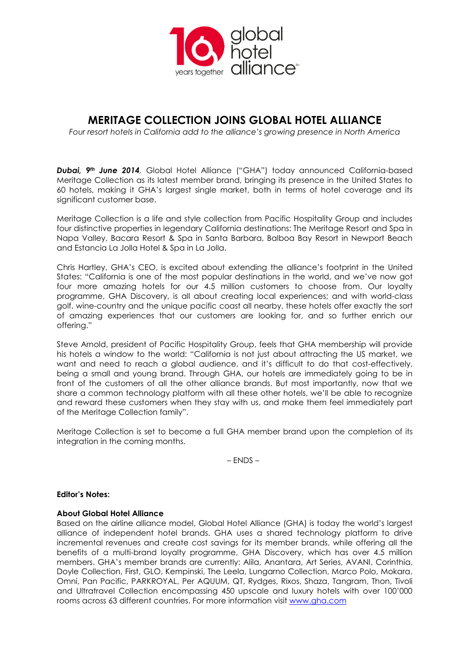

# MERITAGE COLLECTION JOINS GLOBAL HOTEL ALLIANCE

Four resort hotels in California add to the alliance's growing presence in North America

Dubai, 9<sup>th</sup> June 2014, Global Hotel Alliance ("GHA") today announced California-based Meritage Collection as its latest member brand, bringing its presence in the United States to 60 hotels, making it GHA's largest single market, both in terms of hotel coverage and its significant customer base.

Meritage Collection is a life and style collection from Pacific Hospitality Group and includes four distinctive properties in legendary California destinations: The Meritage Resort and Spa in Napa Valley, Bacara Resort & Spa in Santa Barbara, Balboa Bay Resort in Newport Beach and Estancia La Jolla Hotel & Spa in La Jolla.

Chris Hartley, GHA's CEO, is excited about extending the alliance's footprint in the United States: "California is one of the most popular destinations in the world, and we've now got four more amazing hotels for our 4.5 million customers to choose from. Our loyalty programme, GHA Discovery, is all about creating local experiences; and with world-class golf, wine-country and the unique pacific coast all nearby, these hotels offer exactly the sort of amazing experiences that our customers are looking for, and so further enrich our offering."

Steve Arnold, president of Pacific Hospitality Group, feels that GHA membership will provide his hotels a window to the world: "California is not just about attracting the US market, we want and need to reach a global audience, and it's difficult to do that cost-effectively, being a small and young brand. Through GHA, our hotels are immediately going to be in front of the customers of all the other alliance brands. But most importantly, now that we share a common technology platform with all these other hotels, we'll be able to recognize and reward these customers when they stay with us, and make them feel immediately part of the Meritage Collection family".

Meritage Collection is set to become a full GHA member brand upon the completion of its integration in the coming months.

– ENDS –

### Editor's Notes:

## About Global Hotel Alliance

Based on the airline alliance model, Global Hotel Alliance (GHA) is today the world's largest alliance of independent hotel brands. GHA uses a shared technology platform to drive incremental revenues and create cost savings for its member brands, while offering all the benefits of a multi-brand loyalty programme, GHA Discovery, which has over 4.5 million members. GHA's member brands are currently: Alila, Anantara, Art Series, AVANI, Corinthia, Doyle Collection, First, GLO, Kempinski, The Leela, Lungarno Collection, Marco Polo, Mokara, Omni, Pan Pacific, PARKROYAL, Per AQUUM, QT, Rydges, Rixos, Shaza, Tangram, Thon, Tivoli and Ultratravel Collection encompassing 450 upscale and luxury hotels with over 100'000 rooms across 63 different countries. For more information visit www.gha.com